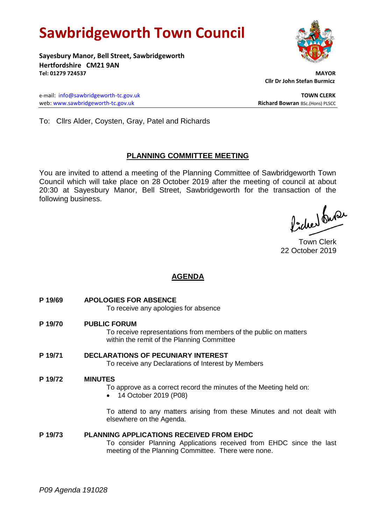# **Sawbridgeworth Town Council**

**Sayesbury Manor, Bell Street, Sawbridgeworth Hertfordshire CM21 9AN Tel: 01279 724537 MAYOR**

e-mail: [info@sawbridgeworth-tc.gov.uk](mailto:info@sawbridgeworth-tc.gov.uk) **TOWN CLERK TOWN CLERK** web: www.sawbridgeworth-tc.gov.uk<br> **Richard Bowran** BSc.(Hons) PLSCC

 **Cllr Dr John Stefan Burmicz**

To: Cllrs Alder, Coysten, Gray, Patel and Richards

# **PLANNING COMMITTEE MEETING**

You are invited to attend a meeting of the Planning Committee of Sawbridgeworth Town Council which will take place on 28 October 2019 after the meeting of council at about 20:30 at Sayesbury Manor, Bell Street, Sawbridgeworth for the transaction of the following business.

fideer fuse

Town Clerk 22 October 2019

# **AGENDA**

**P 19/69 APOLOGIES FOR ABSENCE**

To receive any apologies for absence

## **P 19/70 PUBLIC FORUM**

To receive representations from members of the public on matters within the remit of the Planning Committee

# **P 19/71 DECLARATIONS OF PECUNIARY INTEREST**

To receive any Declarations of Interest by Members

## **P 19/72 MINUTES**

To approve as a correct record the minutes of the Meeting held on:

• 14 October 2019 (P08)

To attend to any matters arising from these Minutes and not dealt with elsewhere on the Agenda.

## **P 19/73 PLANNING APPLICATIONS RECEIVED FROM EHDC**

To consider Planning Applications received from EHDC since the last meeting of the Planning Committee. There were none.